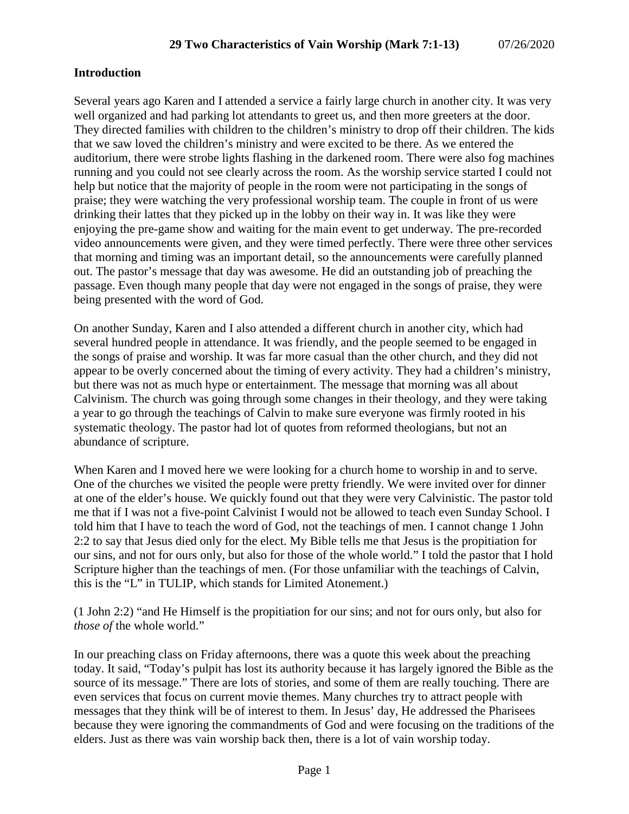### **Introduction**

Several years ago Karen and I attended a service a fairly large church in another city. It was very well organized and had parking lot attendants to greet us, and then more greeters at the door. They directed families with children to the children's ministry to drop off their children. The kids that we saw loved the children's ministry and were excited to be there. As we entered the auditorium, there were strobe lights flashing in the darkened room. There were also fog machines running and you could not see clearly across the room. As the worship service started I could not help but notice that the majority of people in the room were not participating in the songs of praise; they were watching the very professional worship team. The couple in front of us were drinking their lattes that they picked up in the lobby on their way in. It was like they were enjoying the pre-game show and waiting for the main event to get underway. The pre-recorded video announcements were given, and they were timed perfectly. There were three other services that morning and timing was an important detail, so the announcements were carefully planned out. The pastor's message that day was awesome. He did an outstanding job of preaching the passage. Even though many people that day were not engaged in the songs of praise, they were being presented with the word of God.

On another Sunday, Karen and I also attended a different church in another city, which had several hundred people in attendance. It was friendly, and the people seemed to be engaged in the songs of praise and worship. It was far more casual than the other church, and they did not appear to be overly concerned about the timing of every activity. They had a children's ministry, but there was not as much hype or entertainment. The message that morning was all about Calvinism. The church was going through some changes in their theology, and they were taking a year to go through the teachings of Calvin to make sure everyone was firmly rooted in his systematic theology. The pastor had lot of quotes from reformed theologians, but not an abundance of scripture.

When Karen and I moved here we were looking for a church home to worship in and to serve. One of the churches we visited the people were pretty friendly. We were invited over for dinner at one of the elder's house. We quickly found out that they were very Calvinistic. The pastor told me that if I was not a five-point Calvinist I would not be allowed to teach even Sunday School. I told him that I have to teach the word of God, not the teachings of men. I cannot change 1 John 2:2 to say that Jesus died only for the elect. My Bible tells me that Jesus is the propitiation for our sins, and not for ours only, but also for those of the whole world." I told the pastor that I hold Scripture higher than the teachings of men. (For those unfamiliar with the teachings of Calvin, this is the "L" in TULIP, which stands for Limited Atonement.)

(1 John 2:2) "and He Himself is the propitiation for our sins; and not for ours only, but also for *those of* the whole world."

In our preaching class on Friday afternoons, there was a quote this week about the preaching today. It said, "Today's pulpit has lost its authority because it has largely ignored the Bible as the source of its message." There are lots of stories, and some of them are really touching. There are even services that focus on current movie themes. Many churches try to attract people with messages that they think will be of interest to them. In Jesus' day, He addressed the Pharisees because they were ignoring the commandments of God and were focusing on the traditions of the elders. Just as there was vain worship back then, there is a lot of vain worship today.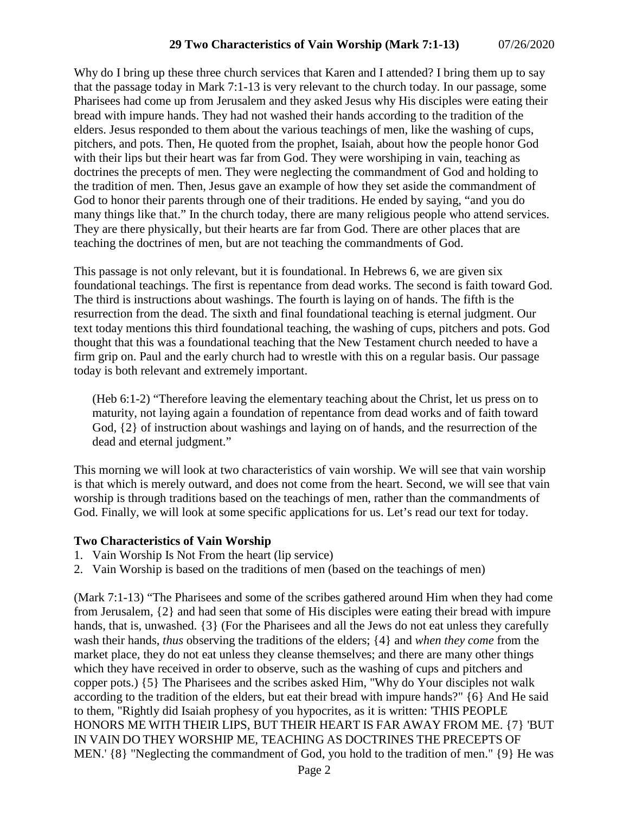Why do I bring up these three church services that Karen and I attended? I bring them up to say that the passage today in Mark 7:1-13 is very relevant to the church today. In our passage, some Pharisees had come up from Jerusalem and they asked Jesus why His disciples were eating their bread with impure hands. They had not washed their hands according to the tradition of the elders. Jesus responded to them about the various teachings of men, like the washing of cups, pitchers, and pots. Then, He quoted from the prophet, Isaiah, about how the people honor God with their lips but their heart was far from God. They were worshiping in vain, teaching as doctrines the precepts of men. They were neglecting the commandment of God and holding to the tradition of men. Then, Jesus gave an example of how they set aside the commandment of God to honor their parents through one of their traditions. He ended by saying, "and you do many things like that." In the church today, there are many religious people who attend services. They are there physically, but their hearts are far from God. There are other places that are teaching the doctrines of men, but are not teaching the commandments of God.

This passage is not only relevant, but it is foundational. In Hebrews 6, we are given six foundational teachings. The first is repentance from dead works. The second is faith toward God. The third is instructions about washings. The fourth is laying on of hands. The fifth is the resurrection from the dead. The sixth and final foundational teaching is eternal judgment. Our text today mentions this third foundational teaching, the washing of cups, pitchers and pots. God thought that this was a foundational teaching that the New Testament church needed to have a firm grip on. Paul and the early church had to wrestle with this on a regular basis. Our passage today is both relevant and extremely important.

(Heb 6:1-2) "Therefore leaving the elementary teaching about the Christ, let us press on to maturity, not laying again a foundation of repentance from dead works and of faith toward God, {2} of instruction about washings and laying on of hands, and the resurrection of the dead and eternal judgment."

This morning we will look at two characteristics of vain worship. We will see that vain worship is that which is merely outward, and does not come from the heart. Second, we will see that vain worship is through traditions based on the teachings of men, rather than the commandments of God. Finally, we will look at some specific applications for us. Let's read our text for today.

# **Two Characteristics of Vain Worship**

- 1. Vain Worship Is Not From the heart (lip service)
- 2. Vain Worship is based on the traditions of men (based on the teachings of men)

(Mark 7:1-13) "The Pharisees and some of the scribes gathered around Him when they had come from Jerusalem, {2} and had seen that some of His disciples were eating their bread with impure hands, that is, unwashed. {3} (For the Pharisees and all the Jews do not eat unless they carefully wash their hands, *thus* observing the traditions of the elders; {4} and *when they come* from the market place, they do not eat unless they cleanse themselves; and there are many other things which they have received in order to observe, such as the washing of cups and pitchers and copper pots.) {5} The Pharisees and the scribes asked Him, "Why do Your disciples not walk according to the tradition of the elders, but eat their bread with impure hands?" {6} And He said to them, "Rightly did Isaiah prophesy of you hypocrites, as it is written: 'THIS PEOPLE HONORS ME WITH THEIR LIPS, BUT THEIR HEART IS FAR AWAY FROM ME. {7} 'BUT IN VAIN DO THEY WORSHIP ME, TEACHING AS DOCTRINES THE PRECEPTS OF MEN.' {8} "Neglecting the commandment of God, you hold to the tradition of men." {9} He was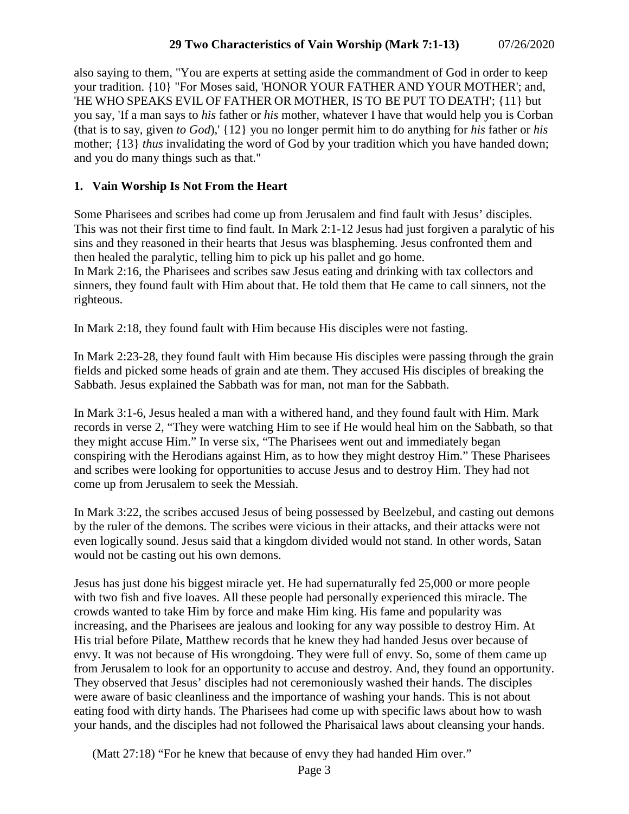also saying to them, "You are experts at setting aside the commandment of God in order to keep your tradition. {10} "For Moses said, 'HONOR YOUR FATHER AND YOUR MOTHER'; and, 'HE WHO SPEAKS EVIL OF FATHER OR MOTHER, IS TO BE PUT TO DEATH'; {11} but you say, 'If a man says to *his* father or *his* mother, whatever I have that would help you is Corban (that is to say, given *to God*),' {12} you no longer permit him to do anything for *his* father or *his* mother; {13} *thus* invalidating the word of God by your tradition which you have handed down; and you do many things such as that."

#### **1. Vain Worship Is Not From the Heart**

Some Pharisees and scribes had come up from Jerusalem and find fault with Jesus' disciples. This was not their first time to find fault. In Mark 2:1-12 Jesus had just forgiven a paralytic of his sins and they reasoned in their hearts that Jesus was blaspheming. Jesus confronted them and then healed the paralytic, telling him to pick up his pallet and go home.

In Mark 2:16, the Pharisees and scribes saw Jesus eating and drinking with tax collectors and sinners, they found fault with Him about that. He told them that He came to call sinners, not the righteous.

In Mark 2:18, they found fault with Him because His disciples were not fasting.

In Mark 2:23-28, they found fault with Him because His disciples were passing through the grain fields and picked some heads of grain and ate them. They accused His disciples of breaking the Sabbath. Jesus explained the Sabbath was for man, not man for the Sabbath.

In Mark 3:1-6, Jesus healed a man with a withered hand, and they found fault with Him. Mark records in verse 2, "They were watching Him to see if He would heal him on the Sabbath, so that they might accuse Him." In verse six, "The Pharisees went out and immediately began conspiring with the Herodians against Him, as to how they might destroy Him." These Pharisees and scribes were looking for opportunities to accuse Jesus and to destroy Him. They had not come up from Jerusalem to seek the Messiah.

In Mark 3:22, the scribes accused Jesus of being possessed by Beelzebul, and casting out demons by the ruler of the demons. The scribes were vicious in their attacks, and their attacks were not even logically sound. Jesus said that a kingdom divided would not stand. In other words, Satan would not be casting out his own demons.

Jesus has just done his biggest miracle yet. He had supernaturally fed 25,000 or more people with two fish and five loaves. All these people had personally experienced this miracle. The crowds wanted to take Him by force and make Him king. His fame and popularity was increasing, and the Pharisees are jealous and looking for any way possible to destroy Him. At His trial before Pilate, Matthew records that he knew they had handed Jesus over because of envy. It was not because of His wrongdoing. They were full of envy. So, some of them came up from Jerusalem to look for an opportunity to accuse and destroy. And, they found an opportunity. They observed that Jesus' disciples had not ceremoniously washed their hands. The disciples were aware of basic cleanliness and the importance of washing your hands. This is not about eating food with dirty hands. The Pharisees had come up with specific laws about how to wash your hands, and the disciples had not followed the Pharisaical laws about cleansing your hands.

(Matt 27:18) "For he knew that because of envy they had handed Him over."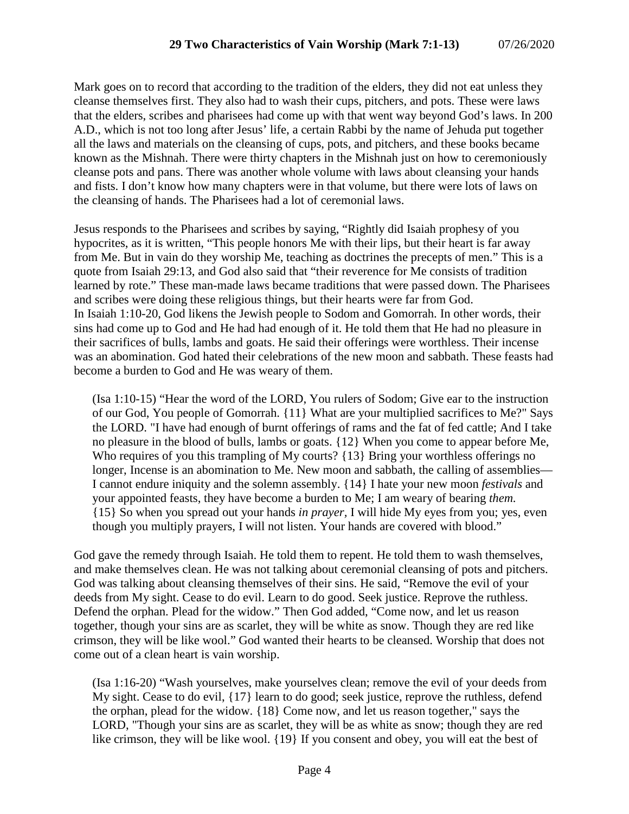Mark goes on to record that according to the tradition of the elders, they did not eat unless they cleanse themselves first. They also had to wash their cups, pitchers, and pots. These were laws that the elders, scribes and pharisees had come up with that went way beyond God's laws. In 200 A.D., which is not too long after Jesus' life, a certain Rabbi by the name of Jehuda put together all the laws and materials on the cleansing of cups, pots, and pitchers, and these books became known as the Mishnah. There were thirty chapters in the Mishnah just on how to ceremoniously cleanse pots and pans. There was another whole volume with laws about cleansing your hands and fists. I don't know how many chapters were in that volume, but there were lots of laws on the cleansing of hands. The Pharisees had a lot of ceremonial laws.

Jesus responds to the Pharisees and scribes by saying, "Rightly did Isaiah prophesy of you hypocrites, as it is written, "This people honors Me with their lips, but their heart is far away from Me. But in vain do they worship Me, teaching as doctrines the precepts of men." This is a quote from Isaiah 29:13, and God also said that "their reverence for Me consists of tradition learned by rote." These man-made laws became traditions that were passed down. The Pharisees and scribes were doing these religious things, but their hearts were far from God. In Isaiah 1:10-20, God likens the Jewish people to Sodom and Gomorrah. In other words, their sins had come up to God and He had had enough of it. He told them that He had no pleasure in their sacrifices of bulls, lambs and goats. He said their offerings were worthless. Their incense was an abomination. God hated their celebrations of the new moon and sabbath. These feasts had become a burden to God and He was weary of them.

(Isa 1:10-15) "Hear the word of the LORD, You rulers of Sodom; Give ear to the instruction of our God, You people of Gomorrah. {11} What are your multiplied sacrifices to Me?" Says the LORD. "I have had enough of burnt offerings of rams and the fat of fed cattle; And I take no pleasure in the blood of bulls, lambs or goats. {12} When you come to appear before Me, Who requires of you this trampling of My courts? {13} Bring your worthless offerings no longer, Incense is an abomination to Me. New moon and sabbath, the calling of assemblies— I cannot endure iniquity and the solemn assembly. {14} I hate your new moon *festivals* and your appointed feasts, they have become a burden to Me; I am weary of bearing *them.* {15} So when you spread out your hands *in prayer,* I will hide My eyes from you; yes, even though you multiply prayers, I will not listen. Your hands are covered with blood."

God gave the remedy through Isaiah. He told them to repent. He told them to wash themselves, and make themselves clean. He was not talking about ceremonial cleansing of pots and pitchers. God was talking about cleansing themselves of their sins. He said, "Remove the evil of your deeds from My sight. Cease to do evil. Learn to do good. Seek justice. Reprove the ruthless. Defend the orphan. Plead for the widow." Then God added, "Come now, and let us reason together, though your sins are as scarlet, they will be white as snow. Though they are red like crimson, they will be like wool." God wanted their hearts to be cleansed. Worship that does not come out of a clean heart is vain worship.

(Isa 1:16-20) "Wash yourselves, make yourselves clean; remove the evil of your deeds from My sight. Cease to do evil, {17} learn to do good; seek justice, reprove the ruthless, defend the orphan, plead for the widow. {18} Come now, and let us reason together," says the LORD, "Though your sins are as scarlet, they will be as white as snow; though they are red like crimson, they will be like wool. {19} If you consent and obey, you will eat the best of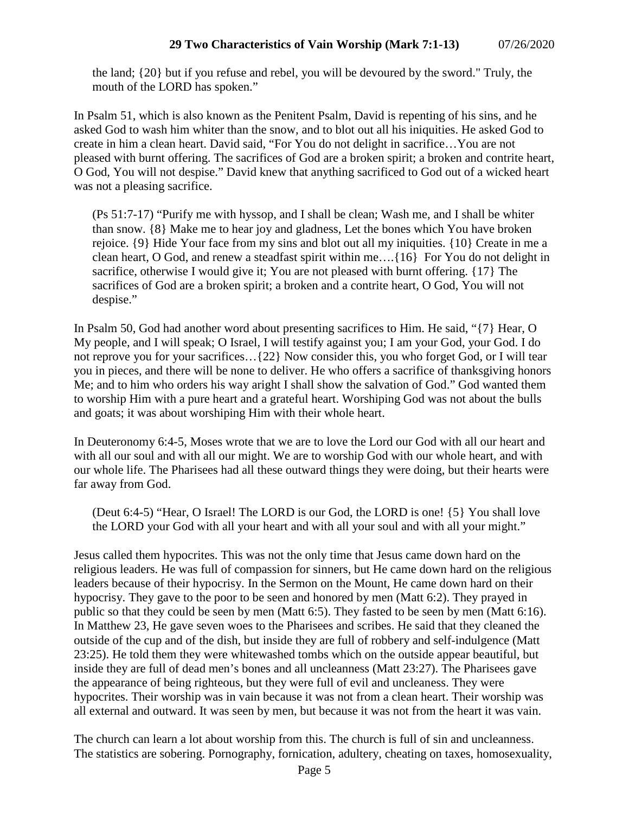the land; {20} but if you refuse and rebel, you will be devoured by the sword." Truly, the mouth of the LORD has spoken."

In Psalm 51, which is also known as the Penitent Psalm, David is repenting of his sins, and he asked God to wash him whiter than the snow, and to blot out all his iniquities. He asked God to create in him a clean heart. David said, "For You do not delight in sacrifice…You are not pleased with burnt offering. The sacrifices of God are a broken spirit; a broken and contrite heart, O God, You will not despise." David knew that anything sacrificed to God out of a wicked heart was not a pleasing sacrifice.

(Ps 51:7-17) "Purify me with hyssop, and I shall be clean; Wash me, and I shall be whiter than snow. {8} Make me to hear joy and gladness, Let the bones which You have broken rejoice. {9} Hide Your face from my sins and blot out all my iniquities. {10} Create in me a clean heart, O God, and renew a steadfast spirit within me….{16} For You do not delight in sacrifice, otherwise I would give it; You are not pleased with burnt offering. {17} The sacrifices of God are a broken spirit; a broken and a contrite heart, O God, You will not despise."

In Psalm 50, God had another word about presenting sacrifices to Him. He said, "{7} Hear, O My people, and I will speak; O Israel, I will testify against you; I am your God, your God. I do not reprove you for your sacrifices…{22} Now consider this, you who forget God, or I will tear you in pieces, and there will be none to deliver. He who offers a sacrifice of thanksgiving honors Me; and to him who orders his way aright I shall show the salvation of God." God wanted them to worship Him with a pure heart and a grateful heart. Worshiping God was not about the bulls and goats; it was about worshiping Him with their whole heart.

In Deuteronomy 6:4-5, Moses wrote that we are to love the Lord our God with all our heart and with all our soul and with all our might. We are to worship God with our whole heart, and with our whole life. The Pharisees had all these outward things they were doing, but their hearts were far away from God.

(Deut 6:4-5) "Hear, O Israel! The LORD is our God, the LORD is one! {5} You shall love the LORD your God with all your heart and with all your soul and with all your might."

Jesus called them hypocrites. This was not the only time that Jesus came down hard on the religious leaders. He was full of compassion for sinners, but He came down hard on the religious leaders because of their hypocrisy. In the Sermon on the Mount, He came down hard on their hypocrisy. They gave to the poor to be seen and honored by men (Matt 6:2). They prayed in public so that they could be seen by men (Matt 6:5). They fasted to be seen by men (Matt 6:16). In Matthew 23, He gave seven woes to the Pharisees and scribes. He said that they cleaned the outside of the cup and of the dish, but inside they are full of robbery and self-indulgence (Matt 23:25). He told them they were whitewashed tombs which on the outside appear beautiful, but inside they are full of dead men's bones and all uncleanness (Matt 23:27). The Pharisees gave the appearance of being righteous, but they were full of evil and uncleaness. They were hypocrites. Their worship was in vain because it was not from a clean heart. Their worship was all external and outward. It was seen by men, but because it was not from the heart it was vain.

The church can learn a lot about worship from this. The church is full of sin and uncleanness. The statistics are sobering. Pornography, fornication, adultery, cheating on taxes, homosexuality,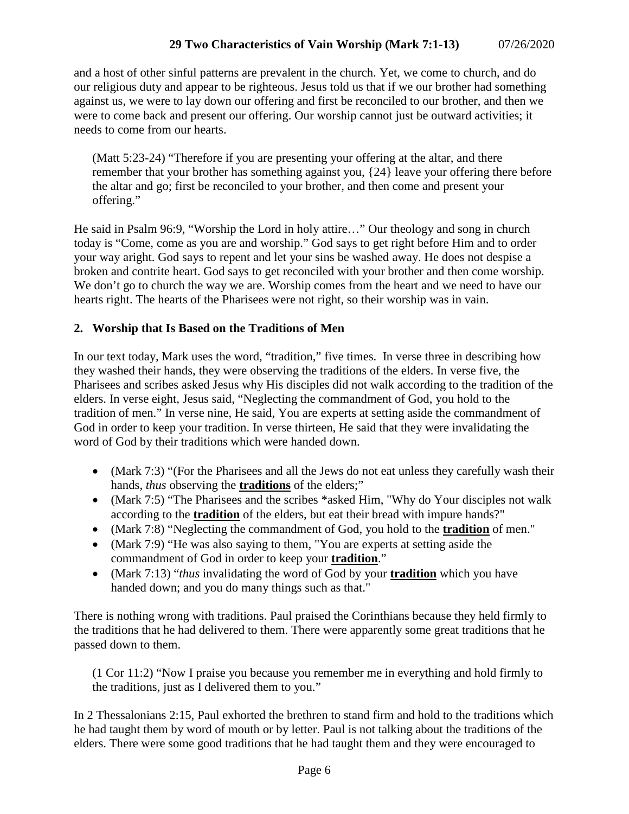and a host of other sinful patterns are prevalent in the church. Yet, we come to church, and do our religious duty and appear to be righteous. Jesus told us that if we our brother had something against us, we were to lay down our offering and first be reconciled to our brother, and then we were to come back and present our offering. Our worship cannot just be outward activities; it needs to come from our hearts.

(Matt 5:23-24) "Therefore if you are presenting your offering at the altar, and there remember that your brother has something against you, {24} leave your offering there before the altar and go; first be reconciled to your brother, and then come and present your offering."

He said in Psalm 96:9, "Worship the Lord in holy attire…" Our theology and song in church today is "Come, come as you are and worship." God says to get right before Him and to order your way aright. God says to repent and let your sins be washed away. He does not despise a broken and contrite heart. God says to get reconciled with your brother and then come worship. We don't go to church the way we are. Worship comes from the heart and we need to have our hearts right. The hearts of the Pharisees were not right, so their worship was in vain.

# **2. Worship that Is Based on the Traditions of Men**

In our text today, Mark uses the word, "tradition," five times. In verse three in describing how they washed their hands, they were observing the traditions of the elders. In verse five, the Pharisees and scribes asked Jesus why His disciples did not walk according to the tradition of the elders. In verse eight, Jesus said, "Neglecting the commandment of God, you hold to the tradition of men." In verse nine, He said, You are experts at setting aside the commandment of God in order to keep your tradition. In verse thirteen, He said that they were invalidating the word of God by their traditions which were handed down.

- (Mark 7:3) "(For the Pharisees and all the Jews do not eat unless they carefully wash their hands, *thus* observing the **traditions** of the elders;"
- (Mark 7:5) "The Pharisees and the scribes \*asked Him, "Why do Your disciples not walk according to the **tradition** of the elders, but eat their bread with impure hands?"
- (Mark 7:8) "Neglecting the commandment of God, you hold to the **tradition** of men."
- (Mark 7:9) "He was also saying to them, "You are experts at setting aside the commandment of God in order to keep your **tradition**."
- (Mark 7:13) "*thus* invalidating the word of God by your **tradition** which you have handed down; and you do many things such as that."

There is nothing wrong with traditions. Paul praised the Corinthians because they held firmly to the traditions that he had delivered to them. There were apparently some great traditions that he passed down to them.

(1 Cor 11:2) "Now I praise you because you remember me in everything and hold firmly to the traditions, just as I delivered them to you."

In 2 Thessalonians 2:15, Paul exhorted the brethren to stand firm and hold to the traditions which he had taught them by word of mouth or by letter. Paul is not talking about the traditions of the elders. There were some good traditions that he had taught them and they were encouraged to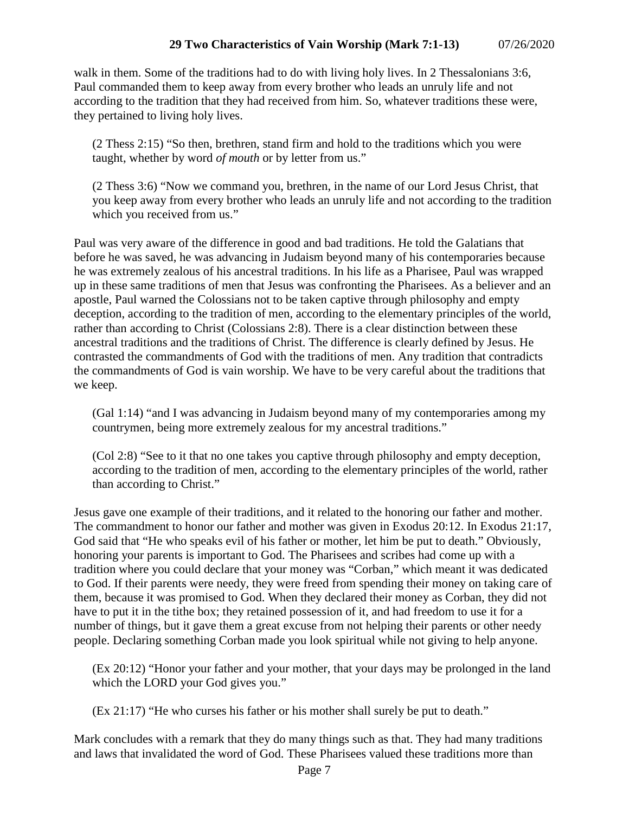walk in them. Some of the traditions had to do with living holy lives. In 2 Thessalonians 3:6, Paul commanded them to keep away from every brother who leads an unruly life and not according to the tradition that they had received from him. So, whatever traditions these were, they pertained to living holy lives.

(2 Thess 2:15) "So then, brethren, stand firm and hold to the traditions which you were taught, whether by word *of mouth* or by letter from us."

(2 Thess 3:6) "Now we command you, brethren, in the name of our Lord Jesus Christ, that you keep away from every brother who leads an unruly life and not according to the tradition which you received from us."

Paul was very aware of the difference in good and bad traditions. He told the Galatians that before he was saved, he was advancing in Judaism beyond many of his contemporaries because he was extremely zealous of his ancestral traditions. In his life as a Pharisee, Paul was wrapped up in these same traditions of men that Jesus was confronting the Pharisees. As a believer and an apostle, Paul warned the Colossians not to be taken captive through philosophy and empty deception, according to the tradition of men, according to the elementary principles of the world, rather than according to Christ (Colossians 2:8). There is a clear distinction between these ancestral traditions and the traditions of Christ. The difference is clearly defined by Jesus. He contrasted the commandments of God with the traditions of men. Any tradition that contradicts the commandments of God is vain worship. We have to be very careful about the traditions that we keep.

(Gal 1:14) "and I was advancing in Judaism beyond many of my contemporaries among my countrymen, being more extremely zealous for my ancestral traditions."

(Col 2:8) "See to it that no one takes you captive through philosophy and empty deception, according to the tradition of men, according to the elementary principles of the world, rather than according to Christ."

Jesus gave one example of their traditions, and it related to the honoring our father and mother. The commandment to honor our father and mother was given in Exodus 20:12. In Exodus 21:17, God said that "He who speaks evil of his father or mother, let him be put to death." Obviously, honoring your parents is important to God. The Pharisees and scribes had come up with a tradition where you could declare that your money was "Corban," which meant it was dedicated to God. If their parents were needy, they were freed from spending their money on taking care of them, because it was promised to God. When they declared their money as Corban, they did not have to put it in the tithe box; they retained possession of it, and had freedom to use it for a number of things, but it gave them a great excuse from not helping their parents or other needy people. Declaring something Corban made you look spiritual while not giving to help anyone.

(Ex 20:12) "Honor your father and your mother, that your days may be prolonged in the land which the LORD your God gives you."

(Ex 21:17) "He who curses his father or his mother shall surely be put to death."

Mark concludes with a remark that they do many things such as that. They had many traditions and laws that invalidated the word of God. These Pharisees valued these traditions more than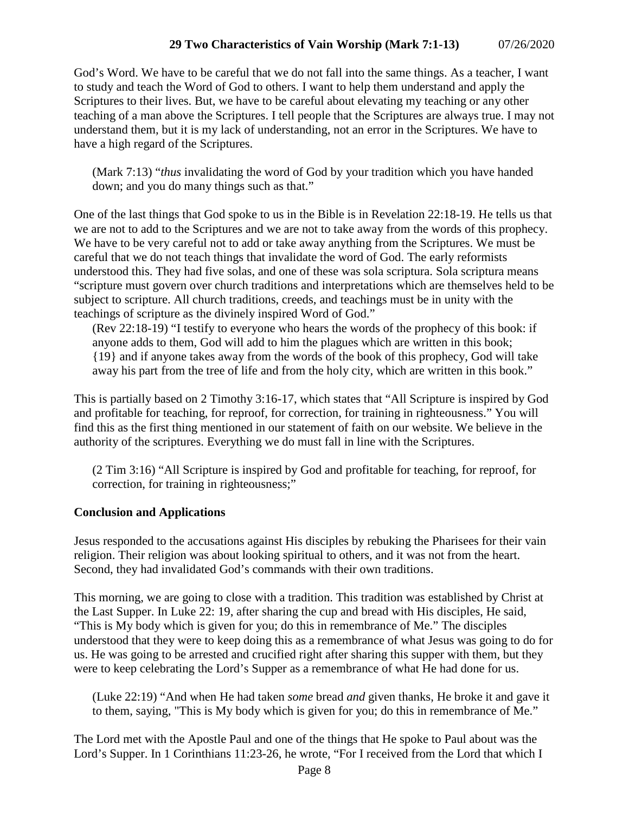God's Word. We have to be careful that we do not fall into the same things. As a teacher, I want to study and teach the Word of God to others. I want to help them understand and apply the Scriptures to their lives. But, we have to be careful about elevating my teaching or any other teaching of a man above the Scriptures. I tell people that the Scriptures are always true. I may not understand them, but it is my lack of understanding, not an error in the Scriptures. We have to have a high regard of the Scriptures.

(Mark 7:13) "*thus* invalidating the word of God by your tradition which you have handed down; and you do many things such as that."

One of the last things that God spoke to us in the Bible is in Revelation 22:18-19. He tells us that we are not to add to the Scriptures and we are not to take away from the words of this prophecy. We have to be very careful not to add or take away anything from the Scriptures. We must be careful that we do not teach things that invalidate the word of God. The early reformists understood this. They had five solas, and one of these was sola scriptura. Sola scriptura means "scripture must govern over church traditions and interpretations which are themselves held to be subject to scripture. All church traditions, creeds, and teachings must be in unity with the teachings of scripture as the divinely inspired Word of God."

(Rev 22:18-19) "I testify to everyone who hears the words of the prophecy of this book: if anyone adds to them, God will add to him the plagues which are written in this book; {19} and if anyone takes away from the words of the book of this prophecy, God will take away his part from the tree of life and from the holy city, which are written in this book."

This is partially based on 2 Timothy 3:16-17, which states that "All Scripture is inspired by God and profitable for teaching, for reproof, for correction, for training in righteousness." You will find this as the first thing mentioned in our statement of faith on our website. We believe in the authority of the scriptures. Everything we do must fall in line with the Scriptures.

(2 Tim 3:16) "All Scripture is inspired by God and profitable for teaching, for reproof, for correction, for training in righteousness;"

### **Conclusion and Applications**

Jesus responded to the accusations against His disciples by rebuking the Pharisees for their vain religion. Their religion was about looking spiritual to others, and it was not from the heart. Second, they had invalidated God's commands with their own traditions.

This morning, we are going to close with a tradition. This tradition was established by Christ at the Last Supper. In Luke 22: 19, after sharing the cup and bread with His disciples, He said, "This is My body which is given for you; do this in remembrance of Me." The disciples understood that they were to keep doing this as a remembrance of what Jesus was going to do for us. He was going to be arrested and crucified right after sharing this supper with them, but they were to keep celebrating the Lord's Supper as a remembrance of what He had done for us.

(Luke 22:19) "And when He had taken *some* bread *and* given thanks, He broke it and gave it to them, saying, "This is My body which is given for you; do this in remembrance of Me."

The Lord met with the Apostle Paul and one of the things that He spoke to Paul about was the Lord's Supper. In 1 Corinthians 11:23-26, he wrote, "For I received from the Lord that which I